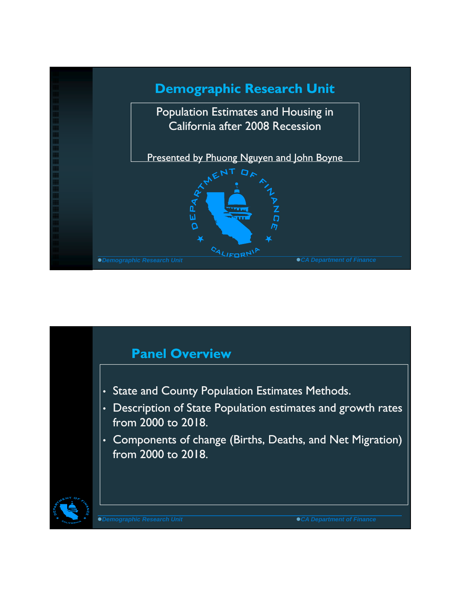

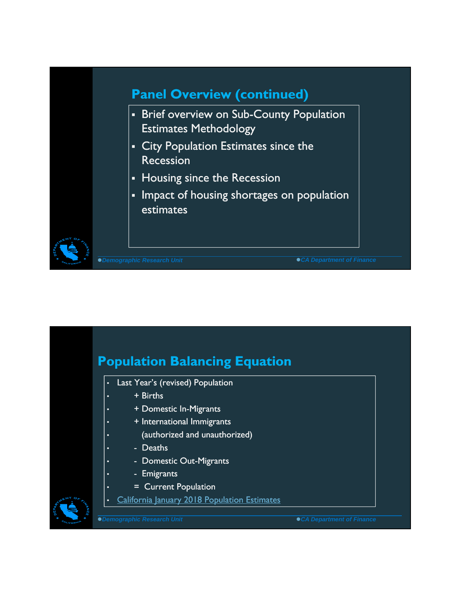

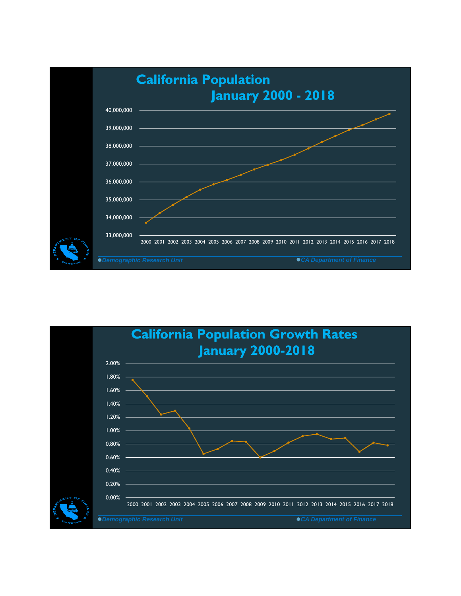

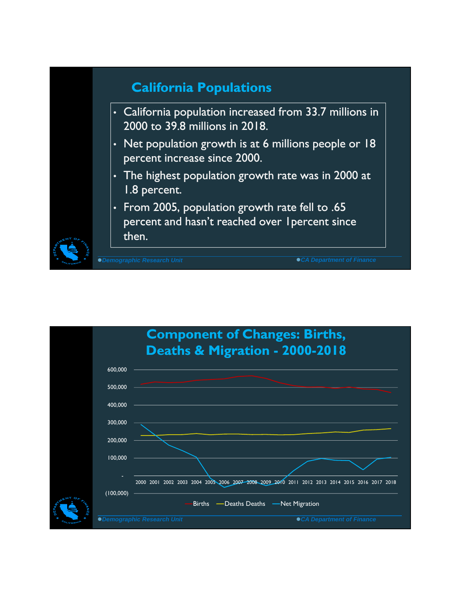

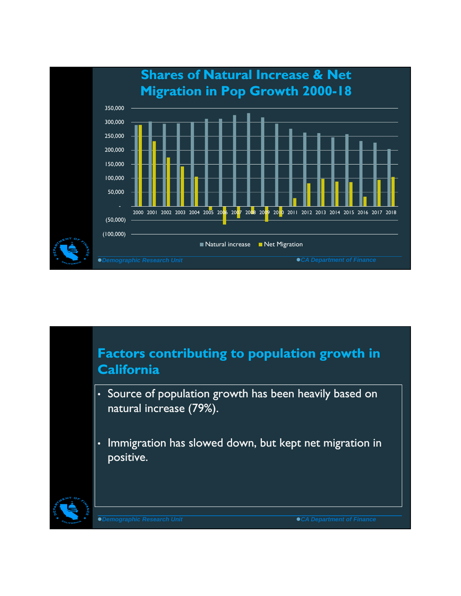

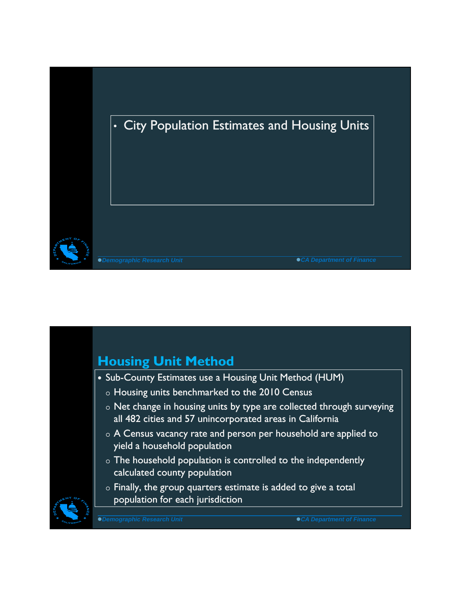

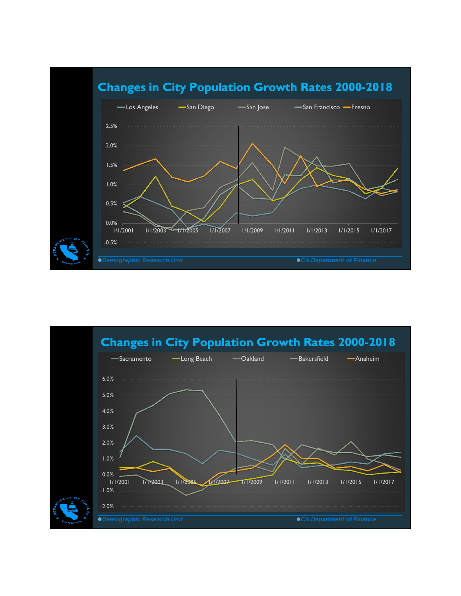

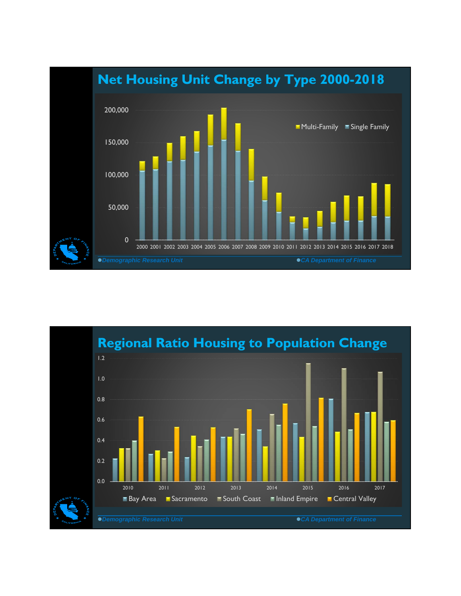

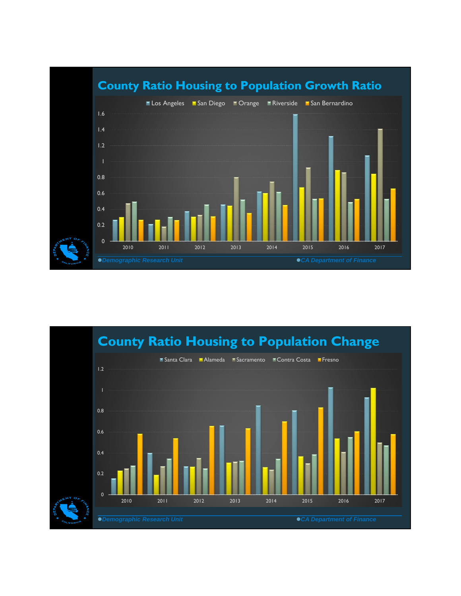

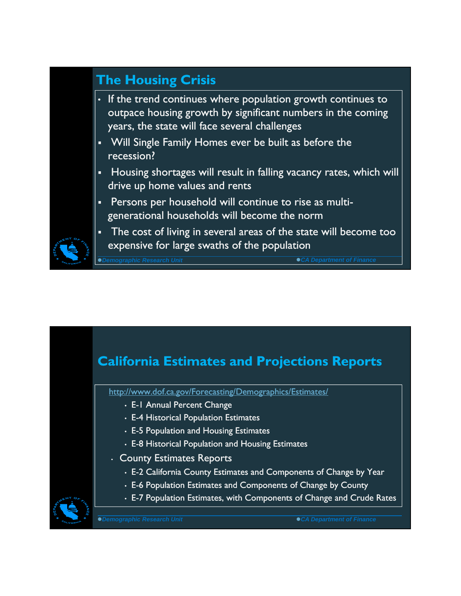## **The Housing Crisis**

- If the trend continues where population growth continues to outpace housing growth by significant numbers in the coming years, the state will face several challenges
- Will Single Family Homes ever be built as before the recession?
- Housing shortages will result in falling vacancy rates, which will drive up home values and rents
- Persons per household will continue to rise as multigenerational households will become the norm
- The cost of living in several areas of the state will become too expensive for large swaths of the population

*Demographic Research Unit CA Department of Finance*

## **California Estimates and Projections Reports**

http://www.dof.ca.gov/Forecasting/Demographics/Estimates/

- E-1 Annual Percent Change
- E-4 Historical Population Estimates
- E-5 Population and Housing Estimates
- E-8 Historical Population and Housing Estimates
- County Estimates Reports
	- E-2 California County Estimates and Components of Change by Year
	- E-6 Population Estimates and Components of Change by County
	- E-7 Population Estimates, with Components of Change and Crude Rates